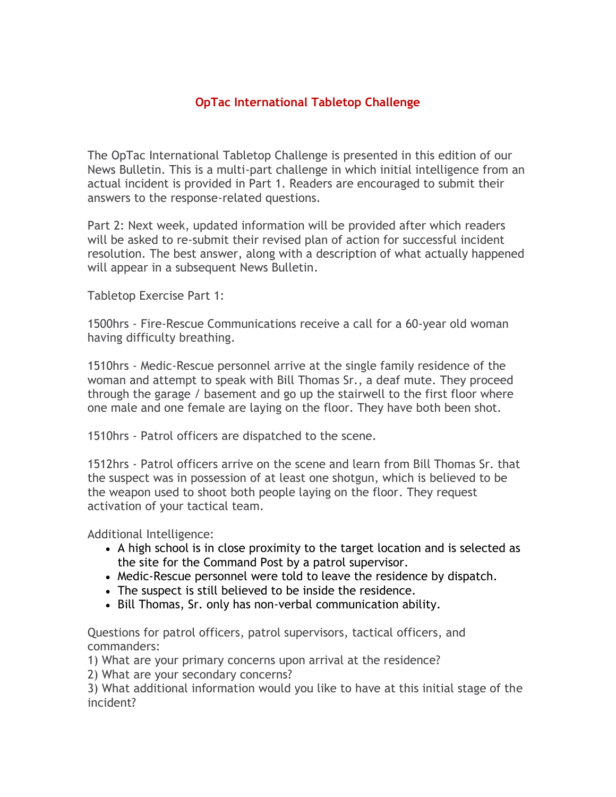## **OpTac International Tabletop Challenge**

The OpTac International Tabletop Challenge is presented in this edition of our News Bulletin. This is a multi-part challenge in which initial intelligence from an actual incident is provided in Part 1. Readers are encouraged to submit their answers to the response-related questions.

Part 2: Next week, updated information will be provided after which readers will be asked to re-submit their revised plan of action for successful incident resolution. The best answer, along with a description of what actually happened will appear in a subsequent News Bulletin.

Tabletop Exercise Part 1:

1500hrs - Fire-Rescue Communications receive a call for a 60-year old woman having difficulty breathing.

1510hrs - Medic-Rescue personnel arrive at the single family residence of the woman and attempt to speak with Bill Thomas Sr., a deaf mute. They proceed through the garage / basement and go up the stairwell to the first floor where one male and one female are laying on the floor. They have both been shot.

1510hrs - Patrol officers are dispatched to the scene.

1512hrs - Patrol officers arrive on the scene and learn from Bill Thomas Sr. that the suspect was in possession of at least one shotgun, which is believed to be the weapon used to shoot both people laying on the floor. They request activation of your tactical team.

Additional Intelligence:

- A high school is in close proximity to the target location and is selected as the site for the Command Post by a patrol supervisor.
- Medic-Rescue personnel were told to leave the residence by dispatch.
- The suspect is still believed to be inside the residence.
- Bill Thomas, Sr. only has non-verbal communication ability.

Questions for patrol officers, patrol supervisors, tactical officers, and commanders:

1) What are your primary concerns upon arrival at the residence?

2) What are your secondary concerns?

3) What additional information would you like to have at this initial stage of the incident?